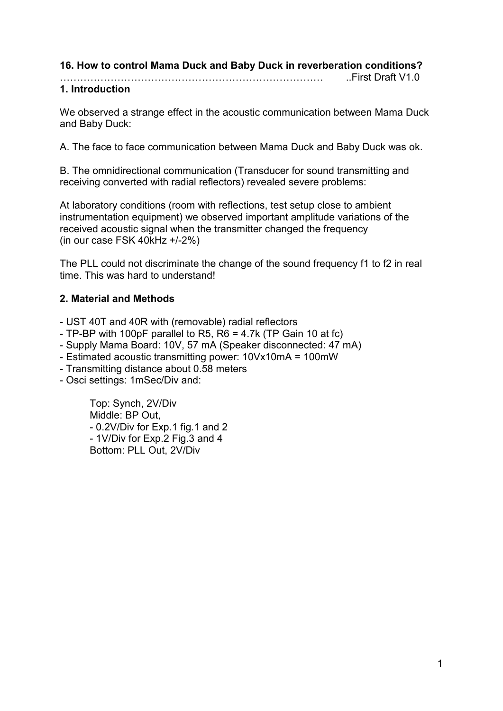## **16. How to control Mama Duck and Baby Duck in reverberation conditions?**

..First Draft V1.0

## **1. Introduction**

We observed a strange effect in the acoustic communication between Mama Duck and Baby Duck:

A. The face to face communication between Mama Duck and Baby Duck was ok.

B. The omnidirectional communication (Transducer for sound transmitting and receiving converted with radial reflectors) revealed severe problems:

At laboratory conditions (room with reflections, test setup close to ambient instrumentation equipment) we observed important amplitude variations of the received acoustic signal when the transmitter changed the frequency (in our case FSK 40kHz +/-2%)

The PLL could not discriminate the change of the sound frequency f1 to f2 in real time. This was hard to understand!

## **2. Material and Methods**

- UST 40T and 40R with (removable) radial reflectors

- TP-BP with 100pF parallel to R5, R6 = 4.7k (TP Gain 10 at fc)

- Supply Mama Board: 10V, 57 mA (Speaker disconnected: 47 mA)

- Estimated acoustic transmitting power: 10Vx10mA = 100mW

- Transmitting distance about 0.58 meters
- Osci settings: 1mSec/Div and:

Top: Synch, 2V/Div Middle: BP Out, - 0.2V/Div for Exp.1 fig.1 and 2 - 1V/Div for Exp.2 Fig.3 and 4 Bottom: PLL Out, 2V/Div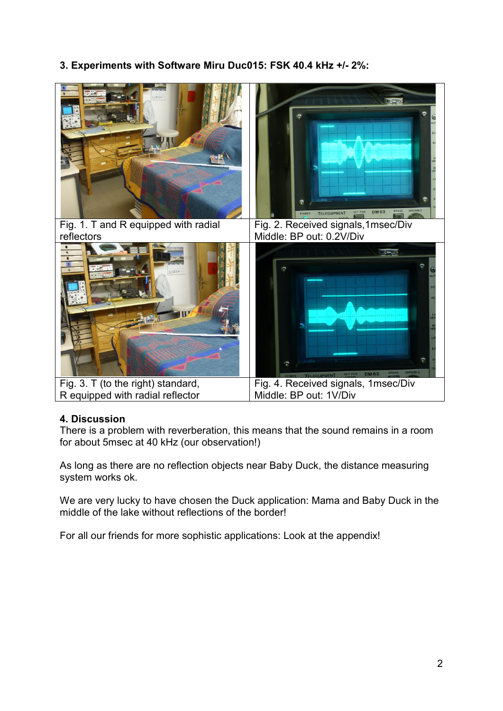**3. Experiments with Software Miru Duc015: FSK 40.4 kHz +/- 2%:** 



### **4. Discussion**

There is a problem with reverberation, this means that the sound remains in a room for about 5msec at 40 kHz (our observation!)

As long as there are no reflection objects near Baby Duck, the distance measuring system works ok.

We are very lucky to have chosen the Duck application: Mama and Baby Duck in the middle of the lake without reflections of the border!

For all our friends for more sophistic applications: Look at the appendix!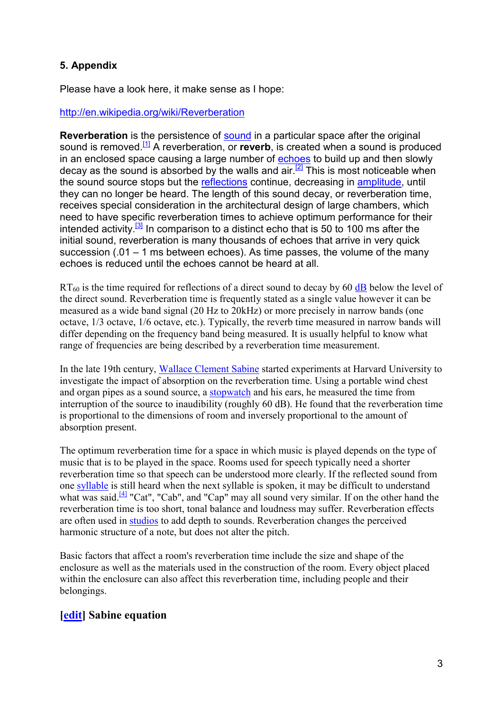# **5. Appendix**

Please have a look here, it make sense as I hope:

#### http://en.wikipedia.org/wiki/Reverberation

**Reverberation** is the persistence of **sound** in a particular space after the original sound is removed.[1] A reverberation, or **reverb**, is created when a sound is produced in an enclosed space causing a large number of echoes to build up and then slowly decay as the sound is absorbed by the walls and  $air \stackrel{[2]}{=}$  This is most noticeable when the sound source stops but the reflections continue, decreasing in amplitude, until they can no longer be heard. The length of this sound decay, or reverberation time, receives special consideration in the architectural design of large chambers, which need to have specific reverberation times to achieve optimum performance for their intended activity.<sup>[3]</sup> In comparison to a distinct echo that is 50 to 100 ms after the initial sound, reverberation is many thousands of echoes that arrive in very quick succession (.01 – 1 ms between echoes). As time passes, the volume of the many echoes is reduced until the echoes cannot be heard at all.

 $RT_{60}$  is the time required for reflections of a direct sound to decay by 60 dB below the level of the direct sound. Reverberation time is frequently stated as a single value however it can be measured as a wide band signal (20 Hz to 20kHz) or more precisely in narrow bands (one octave, 1/3 octave, 1/6 octave, etc.). Typically, the reverb time measured in narrow bands will differ depending on the frequency band being measured. It is usually helpful to know what range of frequencies are being described by a reverberation time measurement.

In the late 19th century, Wallace Clement Sabine started experiments at Harvard University to investigate the impact of absorption on the reverberation time. Using a portable wind chest and organ pipes as a sound source, a stopwatch and his ears, he measured the time from interruption of the source to inaudibility (roughly 60 dB). He found that the reverberation time is proportional to the dimensions of room and inversely proportional to the amount of absorption present.

The optimum reverberation time for a space in which music is played depends on the type of music that is to be played in the space. Rooms used for speech typically need a shorter reverberation time so that speech can be understood more clearly. If the reflected sound from one syllable is still heard when the next syllable is spoken, it may be difficult to understand what was said.<sup>[4]</sup> "Cat", "Cab", and "Cap" may all sound very similar. If on the other hand the reverberation time is too short, tonal balance and loudness may suffer. Reverberation effects are often used in studios to add depth to sounds. Reverberation changes the perceived harmonic structure of a note, but does not alter the pitch.

Basic factors that affect a room's reverberation time include the size and shape of the enclosure as well as the materials used in the construction of the room. Every object placed within the enclosure can also affect this reverberation time, including people and their belongings.

# **[edit] Sabine equation**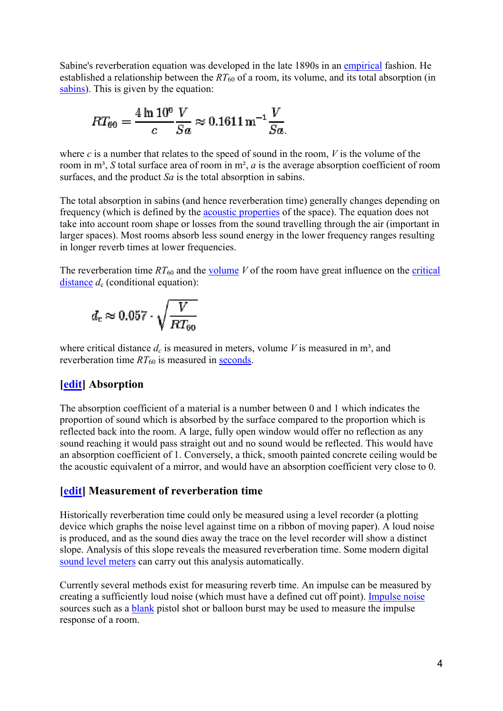Sabine's reverberation equation was developed in the late 1890s in an *empirical* fashion. He established a relationship between the RT<sub>60</sub> of a room, its volume, and its total absorption (in sabins). This is given by the equation:

$$
RT_{60} = \frac{4 \ln 10^6 V}{c \cdot Sa} \approx 0.1611 \,\mathrm{m}^{-1} \frac{V}{Sa}.
$$

where  $c$  is a number that relates to the speed of sound in the room,  $V$  is the volume of the room in  $m^3$ , *S* total surface area of room in  $m^2$ , *a* is the average absorption coefficient of room surfaces, and the product *Sa* is the total absorption in sabins.

The total absorption in sabins (and hence reverberation time) generally changes depending on surfaces, and the product  $Sa$  is the total absorption in sabins.<br>The total absorption in sabins (and hence reverberation time) generally changes depending (frequency (which is defined by the **acoustic properties** of the s take into account room shape or losses from the sound travelling through the air (important in larger spaces). Most rooms absorb less sound energy in the lower frequency ranges resulting in longer reverb times at lower frequencies. take into account room shape or losses from the sound travelling through the air (importanger spaces). Most rooms absorb less sound energy in the lower frequency ranges rest in longer reverb times at lower frequencies.<br>Th ablished a relationship between the  $RT_{60}$  of a room, its volume, and its total absorption (in<br>ins). This is given by the equation:<br> $RT_{60} = \frac{4 \ln 10^6 V}{c} \approx 0.1611 \text{ m}^{-1} \frac{V}{Sa}$ .<br>ere c is a number that relates to the s

distance  $d_c$  (conditional equation):

$$
d_\mathrm{c} \approx 0.057 \cdot \sqrt{\frac{V}{RT_{60}}}
$$

where critical distance  $d_c$  is measured in meters, volume *V* is measured in m<sup>3</sup>, and reverberation time  $RT_{60}$  is measured in **seconds**.

### **[edit] Absorption**

The absorption coefficient of a material is a number between 0 and 1 which indicates the The absorption coefficient of a material is a number between 0 and 1 which indicates the proportion of sound which is absorbed by the surface compared to the proportion which is reflected back into the room. A large, fully open window would offer no reflection as any sound reaching it would pass straight out and no sound would be reflected. This would have an absorption coefficient of 1. Conversely, a thick, smooth painted concrete ceiling would be the acoustic equivalent of a mirror, and would have an absorption coefficient very close to 0. reflected back into the room. A large, fully open window would offer no reflection a sound reaching it would pass straight out and no sound would be reflected. This wo an absorption coefficient of 1. Conversely, a thick, s

## **[edit] Measurement of reverberation time reverberation time**

Historically reverberation time could only be measured using a level recorder (a plotting Historically reverberation time could only be measured using a level recorder (a plotting device which graphs the noise level against time on a ribbon of moving paper). A loud noise is produced, and as the sound dies away the trace on the level recorder will show a distinct slope. Analysis of this slope reveals the measured reverberation time. Some modern digital sound level meters can carry out this analysis automatically.

Currently several methods exist for measuring reverb time. An impulse can be measured by Sound level meters can carry out this analysis automatically.<br>Currently several methods exist for measuring reverb time. An impulse can be measured b<br>creating a sufficiently loud noise (which must have a defined cut off po sources such as a **blank** pistol shot or balloon burst may be used to measure the impulse response of a room.